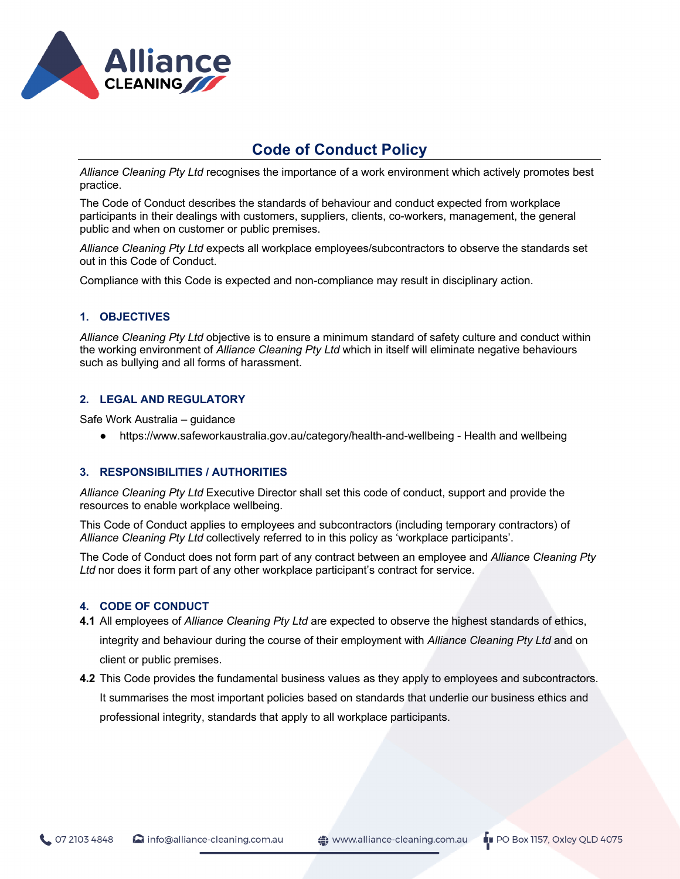

*Alliance Cleaning Pty Ltd* recognises the importance of a work environment which actively promotes best practice.

The Code of Conduct describes the standards of behaviour and conduct expected from workplace participants in their dealings with customers, suppliers, clients, co-workers, management, the general public and when on customer or public premises.

*Alliance Cleaning Pty Ltd* expects all workplace employees/subcontractors to observe the standards set out in this Code of Conduct.

Compliance with this Code is expected and non-compliance may result in disciplinary action.

### **1. OBJECTIVES**

*Alliance Cleaning Pty Ltd* objective is to ensure a minimum standard of safety culture and conduct within the working environment of *Alliance Cleaning Pty Ltd* which in itself will eliminate negative behaviours such as bullying and all forms of harassment.

### **2. LEGAL AND REGULATORY**

Safe Work Australia – guidance

● https://www.safeworkaustralia.gov.au/category/health-and-wellbeing - Health and wellbeing

#### **3. RESPONSIBILITIES / AUTHORITIES**

*Alliance Cleaning Pty Ltd* Executive Director shall set this code of conduct, support and provide the resources to enable workplace wellbeing.

This Code of Conduct applies to employees and subcontractors (including temporary contractors) of *Alliance Cleaning Pty Ltd* collectively referred to in this policy as 'workplace participants'.

The Code of Conduct does not form part of any contract between an employee and *Alliance Cleaning Pty Ltd* nor does it form part of any other workplace participant's contract for service.

#### **4. CODE OF CONDUCT**

- **4.1** All employees of *Alliance Cleaning Pty Ltd* are expected to observe the highest standards of ethics, integrity and behaviour during the course of their employment with *Alliance Cleaning Pty Ltd* and on client or public premises.
- **4.2** This Code provides the fundamental business values as they apply to employees and subcontractors. It summarises the most important policies based on standards that underlie our business ethics and professional integrity, standards that apply to all workplace participants.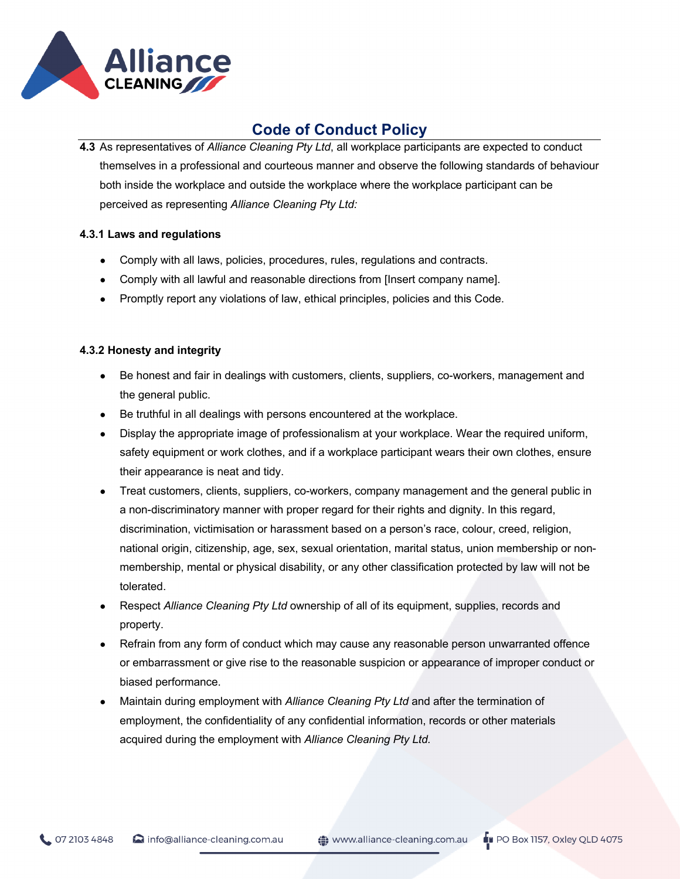

**4.3** As representatives of *Alliance Cleaning Pty Ltd*, all workplace participants are expected to conduct themselves in a professional and courteous manner and observe the following standards of behaviour both inside the workplace and outside the workplace where the workplace participant can be perceived as representing *Alliance Cleaning Pty Ltd:*

### **4.3.1 Laws and regulations**

- Comply with all laws, policies, procedures, rules, regulations and contracts.
- Comply with all lawful and reasonable directions from [Insert company name].
- Promptly report any violations of law, ethical principles, policies and this Code.

## **4.3.2 Honesty and integrity**

- Be honest and fair in dealings with customers, clients, suppliers, co-workers, management and the general public.
- Be truthful in all dealings with persons encountered at the workplace.
- Display the appropriate image of professionalism at your workplace. Wear the required uniform, safety equipment or work clothes, and if a workplace participant wears their own clothes, ensure their appearance is neat and tidy.
- Treat customers, clients, suppliers, co-workers, company management and the general public in a non-discriminatory manner with proper regard for their rights and dignity. In this regard, discrimination, victimisation or harassment based on a person's race, colour, creed, religion, national origin, citizenship, age, sex, sexual orientation, marital status, union membership or nonmembership, mental or physical disability, or any other classification protected by law will not be tolerated.
- Respect *Alliance Cleaning Pty Ltd* ownership of all of its equipment, supplies, records and property.
- Refrain from any form of conduct which may cause any reasonable person unwarranted offence or embarrassment or give rise to the reasonable suspicion or appearance of improper conduct or biased performance.
- Maintain during employment with *Alliance Cleaning Pty Ltd* and after the termination of employment, the confidentiality of any confidential information, records or other materials acquired during the employment with *Alliance Cleaning Pty Ltd.*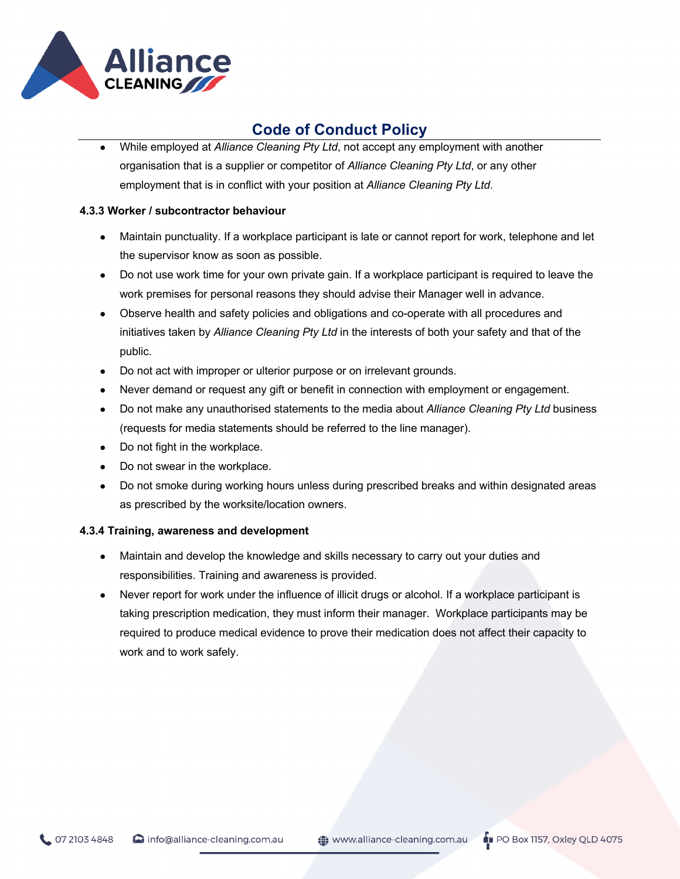

While employed at *Alliance Cleaning Pty Ltd*, not accept any employment with another organisation that is a supplier or competitor of *Alliance Cleaning Pty Ltd*, or any other employment that is in conflict with your position at *Alliance Cleaning Pty Ltd*.

### **4.3.3 Worker / subcontractor behaviour**

- Maintain punctuality. If a workplace participant is late or cannot report for work, telephone and let the supervisor know as soon as possible.
- Do not use work time for your own private gain. If a workplace participant is required to leave the work premises for personal reasons they should advise their Manager well in advance.
- Observe health and safety policies and obligations and co-operate with all procedures and initiatives taken by *Alliance Cleaning Pty Ltd* in the interests of both your safety and that of the public.
- Do not act with improper or ulterior purpose or on irrelevant grounds.
- Never demand or request any gift or benefit in connection with employment or engagement.
- Do not make any unauthorised statements to the media about *Alliance Cleaning Pty Ltd* business (requests for media statements should be referred to the line manager).
- Do not fight in the workplace.
- Do not swear in the workplace.
- Do not smoke during working hours unless during prescribed breaks and within designated areas as prescribed by the worksite/location owners.

### **4.3.4 Training, awareness and development**

- Maintain and develop the knowledge and skills necessary to carry out your duties and responsibilities. Training and awareness is provided.
- Never report for work under the influence of illicit drugs or alcohol. If a workplace participant is taking prescription medication, they must inform their manager. Workplace participants may be required to produce medical evidence to prove their medication does not affect their capacity to work and to work safely.